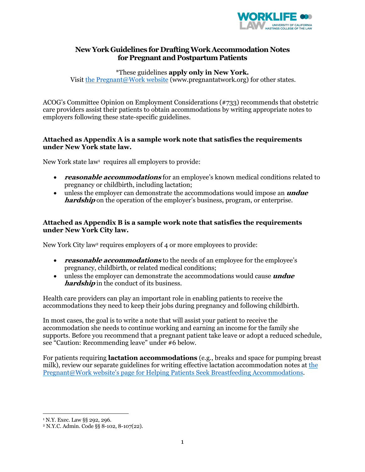

## **New York Guidelines for Drafting Work Accommodation Notes for Pregnant and Postpartum Patients**

\*These guidelines **apply only in New York.** Visit the Pregnant@Work website (www.pregnantatwork.org) for other states.

ACOG's Committee Opinion on Employment Considerations (#733) recommends that obstetric care providers assist their patients to obtain accommodations by writing appropriate notes to employers following these state-specific guidelines.

#### **Attached as Appendix A is a sample work note that satisfies the requirements under New York state law.**

New York state law<sup>1</sup> requires all employers to provide:

- **reasonable accommodations** for an employee's known medical conditions related to pregnancy or childbirth, including lactation;
- unless the employer can demonstrate the accommodations would impose an **undue hardship** on the operation of the employer's business, program, or enterprise.

#### **Attached as Appendix B is a sample work note that satisfies the requirements under New York City law.**

New York City law2 requires employers of 4 or more employees to provide:

- *reasonable accommodations* to the needs of an employee for the employee's pregnancy, childbirth, or related medical conditions;
- unless the employer can demonstrate the accommodations would cause **undue hardship** in the conduct of its business.

Health care providers can play an important role in enabling patients to receive the accommodations they need to keep their jobs during pregnancy and following childbirth.

In most cases, the goal is to write a note that will assist your patient to receive the accommodation she needs to continue working and earning an income for the family she supports. Before you recommend that a pregnant patient take leave or adopt a reduced schedule, see "Caution: Recommending leave" under #6 below.

For patients requiring **lactation accommodations** (e.g., breaks and space for pumping breast milk), review our separate guidelines for writing effective lactation accommodation notes at the Pregnant@Work website's page for Helping Patients Seek Breastfeeding Accommodations.

<sup>1</sup> N.Y. Exec. Law §§ 292, 296.

<sup>2</sup> N.Y.C. Admin. Code §§ 8-102, 8-107(22).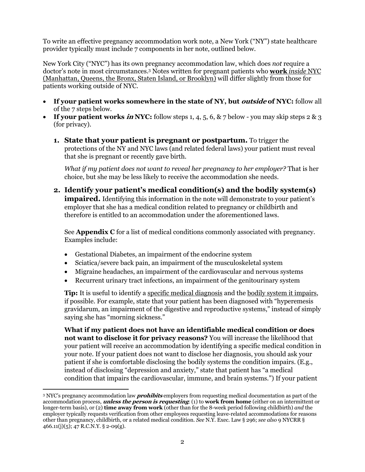To write an effective pregnancy accommodation work note, a New York ("NY") state healthcare provider typically must include 7 components in her note, outlined below.

New York City ("NYC") has its own pregnancy accommodation law, which does *not* require a doctor's note in most circumstances.3 Notes written for pregnant patients who **work** *inside* NYC (Manhattan, Queens, the Bronx, Staten Island, or Brooklyn) will differ slightly from those for patients working outside of NYC.

- **If your patient works somewhere in the state of NY, but outside of NYC:** follow all of the 7 steps below.
- **If your patient works in NYC:** follow steps 1, 4, 5, 6, & 7 below you may skip steps 2 & 3 (for privacy).
	- **1. State that your patient is pregnant or postpartum.** To trigger the protections of the NY and NYC laws (and related federal laws) your patient must reveal that she is pregnant or recently gave birth.

*What if my patient does not want to reveal her pregnancy to her employer?* That is her choice, but she may be less likely to receive the accommodation she needs.

**2. Identify your patient's medical condition(s) and the bodily system(s) impaired.** Identifying this information in the note will demonstrate to your patient's employer that she has a medical condition related to pregnancy or childbirth and therefore is entitled to an accommodation under the aforementioned laws.

See **Appendix C** for a list of medical conditions commonly associated with pregnancy. Examples include:

- Gestational Diabetes, an impairment of the endocrine system
- Sciatica/severe back pain, an impairment of the musculoskeletal system
- Migraine headaches, an impairment of the cardiovascular and nervous systems
- Recurrent urinary tract infections, an impairment of the genitourinary system

**Tip:** It is useful to identify a specific medical diagnosis and the bodily system it impairs, if possible. For example, state that your patient has been diagnosed with "hyperemesis gravidarum, an impairment of the digestive and reproductive systems," instead of simply saying she has "morning sickness."

**What if my patient does not have an identifiable medical condition or does not want to disclose it for privacy reasons?** You will increase the likelihood that your patient will receive an accommodation by identifying a specific medical condition in your note. If your patient does not want to disclose her diagnosis, you should ask your patient if she is comfortable disclosing the bodily systems the condition impairs. (E.g., instead of disclosing "depression and anxiety," state that patient has "a medical condition that impairs the cardiovascular, immune, and brain systems.") If your patient

<sup>3</sup> NYC's pregnancy accommodation law **prohibits** employers from requesting medical documentation as part of the accommodation process, **unless the person is requesting**: (1) to **work from home** (either on an intermittent or longer-term basis), or (2) **time away from work** (other than for the 8-week period following childbirth) *and* the employer typically requests verification from other employees requesting leave-related accommodations for reasons other than pregnancy, childbirth, or a related medical condition. *See* N.Y. Exec. Law § 296; *see also* 9 NYCRR §  $466.11(j)(5); 47 R.C.N.Y. § 2-09(g).$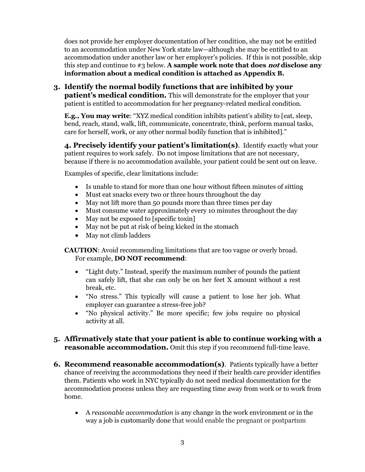does not provide her employer documentation of her condition, she may not be entitled to an accommodation under New York state law—although she may be entitled to an accommodation under another law or her employer's policies. If this is not possible, skip this step and continue to #3 below. **A sample work note that does not disclose any information about a medical condition is attached as Appendix B.**

**3. Identify the normal bodily functions that are inhibited by your patient's medical condition.** This will demonstrate for the employer that your patient is entitled to accommodation for her pregnancy-related medical condition.

**E.g., You may write**: "XYZ medical condition inhibits patient's ability to [eat, sleep, bend, reach, stand, walk, lift, communicate, concentrate, think, perform manual tasks, care for herself, work, or any other normal bodily function that is inhibited]."

**4. Precisely identify your patient's limitation(s)**. Identify exactly what your patient requires to work safely. Do not impose limitations that are not necessary, because if there is no accommodation available, your patient could be sent out on leave.

Examples of specific, clear limitations include:

- Is unable to stand for more than one hour without fifteen minutes of sitting
- Must eat snacks every two or three hours throughout the day
- May not lift more than 50 pounds more than three times per day
- Must consume water approximately every 10 minutes throughout the day
- May not be exposed to [specific toxin]
- May not be put at risk of being kicked in the stomach
- May not climb ladders

**CAUTION:** Avoid recommending limitations that are too vague or overly broad. For example, **DO NOT recommend**:

- "Light duty." Instead, specify the maximum number of pounds the patient can safely lift, that she can only be on her feet X amount without a rest break, etc.
- "No stress." This typically will cause a patient to lose her job. What employer can guarantee a stress-free job?
- "No physical activity." Be more specific; few jobs require no physical activity at all.

## **5. Affirmatively state that your patient is able to continue working with a reasonable accommodation.** Omit this step if you recommend full-time leave.

- **6. Recommend reasonable accommodation(s)**.Patients typically have a better chance of receiving the accommodations they need if their health care provider identifies them. Patients who work in NYC typically do not need medical documentation for the accommodation process unless they are requesting time away from work or to work from home.
	- A *reasonable accommodation* is any change in the work environment or in the way a job is customarily done that would enable the pregnant or postpartum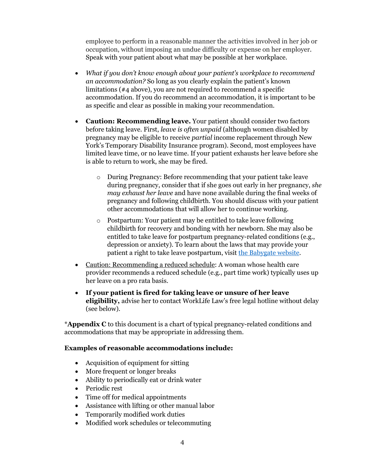employee to perform in a reasonable manner the activities involved in her job or occupation, without imposing an undue difficulty or expense on her employer. Speak with your patient about what may be possible at her workplace.

- *What if you don't know enough about your patient's workplace to recommend an accommodation?* So long as you clearly explain the patient's known limitations (#4 above), you are not required to recommend a specific accommodation. If you do recommend an accommodation, it is important to be as specific and clear as possible in making your recommendation.
- **Caution: Recommending leave.** Your patient should consider two factors before taking leave. First, *leave is often unpaid* (although women disabled by pregnancy may be eligible to receive *partial* income replacement through New York's Temporary Disability Insurance program). Second, most employees have limited leave time, or no leave time. If your patient exhausts her leave before she is able to return to work, she may be fired.
	- o During Pregnancy: Before recommending that your patient take leave during pregnancy, consider that if she goes out early in her pregnancy, *she may exhaust her leave* and have none available during the final weeks of pregnancy and following childbirth. You should discuss with your patient other accommodations that will allow her to continue working.
	- o Postpartum: Your patient may be entitled to take leave following childbirth for recovery and bonding with her newborn. She may also be entitled to take leave for postpartum pregnancy-related conditions (e.g., depression or anxiety). To learn about the laws that may provide your patient a right to take leave postpartum, visit the Babygate website.
- Caution: Recommending a reduced schedule: A woman whose health care provider recommends a reduced schedule (e.g., part time work) typically uses up her leave on a pro rata basis.
- **If your patient is fired for taking leave or unsure of her leave eligibility,** advise her to contact WorkLife Law's free legal hotline without delay (see below).

\***Appendix C** to this document is a chart of typical pregnancy-related conditions and accommodations that may be appropriate in addressing them.

### **Examples of reasonable accommodations include:**

- Acquisition of equipment for sitting
- More frequent or longer breaks
- Ability to periodically eat or drink water
- Periodic rest
- Time off for medical appointments
- Assistance with lifting or other manual labor
- Temporarily modified work duties
- Modified work schedules or telecommuting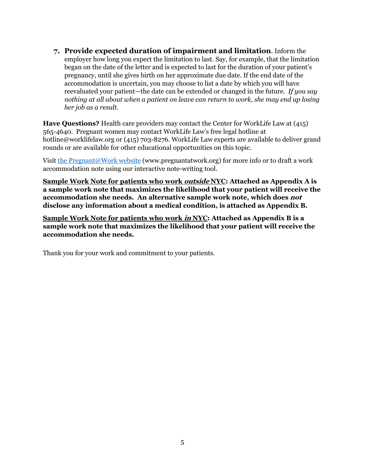**7. Provide expected duration of impairment and limitation**. Inform the employer how long you expect the limitation to last. Say, for example, that the limitation began on the date of the letter and is expected to last for the duration of your patient's pregnancy, until she gives birth on her approximate due date. If the end date of the accommodation is uncertain, you may choose to list a date by which you will have reevaluated your patient—the date can be extended or changed in the future. *If you say nothing at all about when a patient on leave can return to work, she may end up losing her job as a result.*

**Have Questions?** Health care providers may contact the Center for WorkLife Law at (415) 565-4640. Pregnant women may contact WorkLife Law's free legal hotline at hotline@worklifelaw.org or (415) 703-8276. WorkLife Law experts are available to deliver grand rounds or are available for other educational opportunities on this topic.

Visit the Pregnant@Work website (www.pregnantatwork.org) for more info or to draft a work accommodation note using our interactive note-writing tool.

**Sample Work Note for patients who work outside NYC: Attached as Appendix A is a sample work note that maximizes the likelihood that your patient will receive the accommodation she needs. An alternative sample work note, which does not disclose any information about a medical condition, is attached as Appendix B.**

**Sample Work Note for patients who work in NYC: Attached as Appendix B is a sample work note that maximizes the likelihood that your patient will receive the accommodation she needs.**

Thank you for your work and commitment to your patients.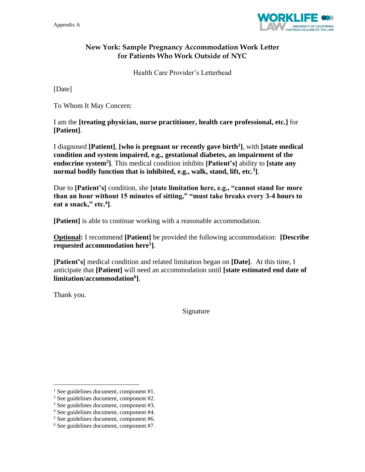

## **New York: Sample Pregnancy Accommodation Work Letter for Patients Who Work Outside of NYC**

Health Care Provider's Letterhead

[Date]

To Whom It May Concern:

I am the **[treating physician, nurse practitioner, health care professional, etc.]** for **[Patient]**.

I diagnosed **[Patient]**, **[who is pregnant or recently gave birth<sup>1</sup> ]**, with **[state medical condition and system impaired, e.g., gestational diabetes, an impairment of the endocrine system<sup>2</sup> ]**. This medical condition inhibits **[Patient's]** ability to **[state any normal bodily function that is inhibited, e.g., walk, stand, lift, etc.<sup>3</sup> ]**.

Due to **[Patient's]** condition, she **[state limitation here, e.g., "cannot stand for more than an hour without 15 minutes of sitting," "must take breaks every 3-4 hours to eat a snack," etc.<sup>4</sup> ]**.

**[Patient]** is able to continue working with a reasonable accommodation.

**Optional:** I recommend **[Patient]** be provided the following accommodation: **[Describe requested accommodation here<sup>5</sup> ]**.

**[Patient's]** medical condition and related limitation began on **[Date]**. At this time, I anticipate that **[Patient]** will need an accommodation until **[state estimated end date of limitation/accommodation<sup>6</sup> ]**.

Thank you.

Signature

<sup>&</sup>lt;sup>1</sup> See guidelines document, component  $#1$ .

<sup>2</sup> See guidelines document, component #2.

<sup>3</sup> See guidelines document, component #3.

<sup>4</sup> See guidelines document, component #4.

<sup>5</sup> See guidelines document, component #6.

<sup>6</sup> See guidelines document, component #7.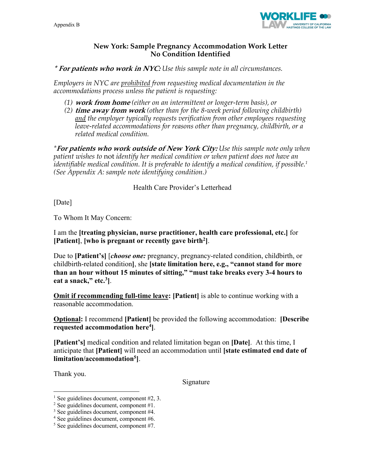

#### **New York: Sample Pregnancy Accommodation Work Letter No Condition Identified**

**\* For patients who work in NYC:** *Use this sample note in all circumstances.*

*Employers in NYC are prohibited from requesting medical documentation in the accommodations process unless the patient is requesting:* 

- *(1)* **work from home** *(either on an intermittent or longer-term basis), or*
- *(2)* **time away from work** *(other than for the 8-week period following childbirth) and the employer typically requests verification from other employees requesting leave-related accommodations for reasons other than pregnancy, childbirth, or a related medical condition.*

*\****For patients who work outside of New York City:** *Use this sample note only when patient wishes to* not *identify her medical condition or when patient does not have an identifiable medical condition. It is preferable to identify a medical condition, if possible. 1 (See Appendix A: sample note identifying condition.)*

Health Care Provider's Letterhead

[Date]

To Whom It May Concern:

I am the **[treating physician, nurse practitioner, health care professional, etc.]** for **[Patient]**, **[who is pregnant or recently gave birth2]**.

Due to **[Patient's]** [*choose one:* pregnancy, pregnancy-related condition, childbirth, or childbirth-related condition**]**, she **[state limitation here, e.g., "cannot stand for more than an hour without 15 minutes of sitting," "must take breaks every 3-4 hours to eat a snack," etc.3 ]**.

**Omit if recommending full-time leave:** [Patient] is able to continue working with a reasonable accommodation.

**Optional:** I recommend **[Patient]** be provided the following accommodation: **[Describe requested accommodation here4 ]**.

**[Patient's]** medical condition and related limitation began on **[Date]**. At this time, I anticipate that **[Patient]** will need an accommodation until **[state estimated end date of limitation/accommodation5]**.

Thank you.

Signature

<sup>&</sup>lt;sup>1</sup> See guidelines document, component  $#2$ , 3.

<sup>2</sup> See guidelines document, component #1.

 $3$  See guidelines document, component  $#4$ .

 $4$  See guidelines document, component #6.

<sup>5</sup> See guidelines document, component #7.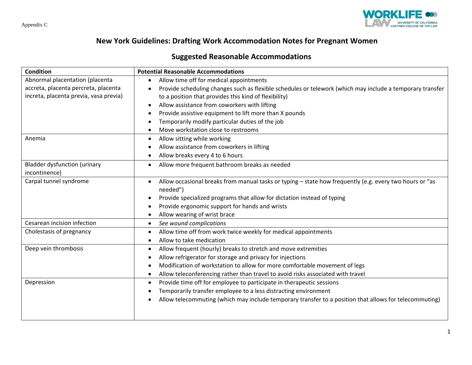

# **New York Guidelines: Drafting Work Accommodation Notes for Pregnant Women**

# **Suggested Reasonable Accommodations**

| Condition                              | <b>Potential Reasonable Accommodations</b>                                                                             |
|----------------------------------------|------------------------------------------------------------------------------------------------------------------------|
| Abnormal placentation (placenta        | Allow time off for medical appointments<br>$\bullet$                                                                   |
| accreta, placenta percreta, placenta   | Provide scheduling changes such as flexible schedules or telework (which may include a temporary transfer<br>$\bullet$ |
| increta, placenta previa, vasa previa) | to a position that provides this kind of flexibility)                                                                  |
|                                        | Allow assistance from coworkers with lifting<br>$\bullet$                                                              |
|                                        | Provide assistive equipment to lift more than X pounds<br>٠                                                            |
|                                        | Temporarily modify particular duties of the job                                                                        |
|                                        | Move workstation close to restrooms<br>$\bullet$                                                                       |
| Anemia                                 | Allow sitting while working<br>$\bullet$                                                                               |
|                                        | Allow assistance from coworkers in lifting                                                                             |
|                                        | Allow breaks every 4 to 6 hours                                                                                        |
| <b>Bladder dysfunction (urinary</b>    | Allow more frequent bathroom breaks as needed<br>$\bullet$                                                             |
| incontinence)                          |                                                                                                                        |
| Carpal tunnel syndrome                 | Allow occasional breaks from manual tasks or typing - state how frequently (e.g. every two hours or "as                |
|                                        | needed")                                                                                                               |
|                                        | Provide specialized programs that allow for dictation instead of typing                                                |
|                                        | Provide ergonomic support for hands and wrists                                                                         |
|                                        | Allow wearing of wrist brace<br>$\bullet$                                                                              |
| Cesarean incision infection            | See wound complications<br>$\bullet$                                                                                   |
| Cholestasis of pregnancy               | Allow time off from work twice weekly for medical appointments<br>$\bullet$                                            |
|                                        | Allow to take medication<br>$\bullet$                                                                                  |
| Deep vein thrombosis                   | Allow frequent (hourly) breaks to stretch and move extremities<br>$\bullet$                                            |
|                                        | Allow refrigerator for storage and privacy for injections<br>٠                                                         |
|                                        | Modification of workstation to allow for more comfortable movement of legs                                             |
|                                        | Allow teleconferencing rather than travel to avoid risks associated with travel<br>$\bullet$                           |
| Depression                             | Provide time off for employee to participate in therapeutic sessions<br>$\bullet$                                      |
|                                        | Temporarily transfer employee to a less distracting environment<br>$\bullet$                                           |
|                                        | Allow telecommuting (which may include temporary transfer to a position that allows for telecommuting)                 |
|                                        |                                                                                                                        |
|                                        |                                                                                                                        |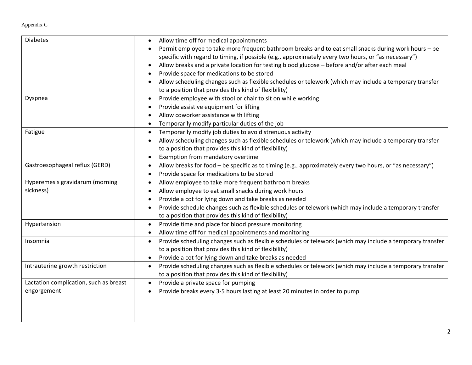| <b>Diabetes</b>                        | Allow time off for medical appointments<br>$\bullet$                                                                   |
|----------------------------------------|------------------------------------------------------------------------------------------------------------------------|
|                                        | Permit employee to take more frequent bathroom breaks and to eat small snacks during work hours - be<br>$\bullet$      |
|                                        | specific with regard to timing, if possible (e.g., approximately every two hours, or "as necessary")                   |
|                                        | Allow breaks and a private location for testing blood glucose - before and/or after each meal<br>$\bullet$             |
|                                        | Provide space for medications to be stored<br>$\bullet$                                                                |
|                                        | Allow scheduling changes such as flexible schedules or telework (which may include a temporary transfer<br>$\bullet$   |
|                                        | to a position that provides this kind of flexibility)                                                                  |
| Dyspnea                                | Provide employee with stool or chair to sit on while working<br>$\bullet$                                              |
|                                        | Provide assistive equipment for lifting                                                                                |
|                                        | Allow coworker assistance with lifting<br>$\bullet$                                                                    |
|                                        | Temporarily modify particular duties of the job<br>$\bullet$                                                           |
| Fatigue                                | Temporarily modify job duties to avoid strenuous activity<br>$\bullet$                                                 |
|                                        | Allow scheduling changes such as flexible schedules or telework (which may include a temporary transfer<br>$\bullet$   |
|                                        | to a position that provides this kind of flexibility)                                                                  |
|                                        | Exemption from mandatory overtime<br>$\bullet$                                                                         |
| Gastroesophageal reflux (GERD)         | Allow breaks for food - be specific as to timing (e.g., approximately every two hours, or "as necessary")<br>$\bullet$ |
|                                        | Provide space for medications to be stored<br>$\bullet$                                                                |
| Hyperemesis gravidarum (morning        | Allow employee to take more frequent bathroom breaks<br>$\bullet$                                                      |
| sickness)                              | Allow employee to eat small snacks during work hours<br>$\bullet$                                                      |
|                                        | Provide a cot for lying down and take breaks as needed                                                                 |
|                                        | Provide schedule changes such as flexible schedules or telework (which may include a temporary transfer<br>٠           |
|                                        | to a position that provides this kind of flexibility)                                                                  |
| Hypertension                           | Provide time and place for blood pressure monitoring<br>$\bullet$                                                      |
|                                        | Allow time off for medical appointments and monitoring<br>$\bullet$                                                    |
| Insomnia                               | Provide scheduling changes such as flexible schedules or telework (which may include a temporary transfer<br>$\bullet$ |
|                                        | to a position that provides this kind of flexibility)                                                                  |
|                                        | Provide a cot for lying down and take breaks as needed<br>$\bullet$                                                    |
| Intrauterine growth restriction        | Provide scheduling changes such as flexible schedules or telework (which may include a temporary transfer<br>$\bullet$ |
|                                        | to a position that provides this kind of flexibility)                                                                  |
| Lactation complication, such as breast | Provide a private space for pumping<br>$\bullet$                                                                       |
| engorgement                            | Provide breaks every 3-5 hours lasting at least 20 minutes in order to pump<br>$\bullet$                               |
|                                        |                                                                                                                        |
|                                        |                                                                                                                        |
|                                        |                                                                                                                        |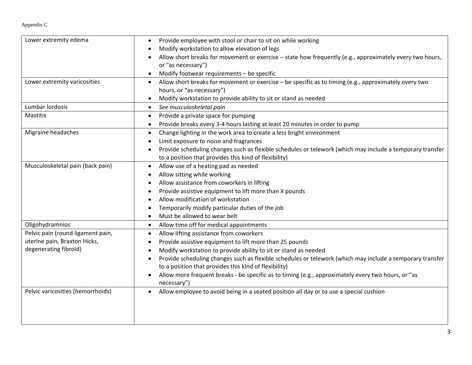| Lower extremity edema             | Provide employee with stool or chair to sit on while working<br>$\bullet$                                              |
|-----------------------------------|------------------------------------------------------------------------------------------------------------------------|
|                                   | Modify workstation to allow elevation of legs<br>$\bullet$                                                             |
|                                   | Allow short breaks for movement or exercise - state how frequently (e.g., approximately every two hours,               |
|                                   | or "as necessary")                                                                                                     |
|                                   | Modify footwear requirements - be specific<br>$\bullet$                                                                |
| Lower extremity varicosities      | Allow short breaks for movement or exercise - be specific as to timing (e.g., approximately every two<br>$\bullet$     |
|                                   | hours, or "as necessary")                                                                                              |
|                                   | Modify workstation to provide ability to sit or stand as needed<br>$\bullet$                                           |
| Lumbar lordosis                   | See musculoskeletal pain<br>$\bullet$                                                                                  |
| Mastitis                          | Provide a private space for pumping<br>$\bullet$                                                                       |
|                                   | Provide breaks every 3-4 hours lasting at least 20 minutes in order to pump<br>$\bullet$                               |
| Migraine headaches                | Change lighting in the work area to create a less bright environment<br>$\bullet$                                      |
|                                   | Limit exposure to noise and fragrances<br>$\bullet$                                                                    |
|                                   | Provide scheduling changes such as flexible schedules or telework (which may include a temporary transfer<br>$\bullet$ |
|                                   | to a position that provides this kind of flexibility)                                                                  |
| Musculoskeletal pain (back pain)  | Allow use of a heating pad as needed<br>$\bullet$                                                                      |
|                                   | Allow sitting while working<br>$\bullet$                                                                               |
|                                   | Allow assistance from coworkers in lifting                                                                             |
|                                   | Provide assistive equipment to lift more than X pounds<br>$\bullet$                                                    |
|                                   | Allow modification of workstation                                                                                      |
|                                   | Temporarily modify particular duties of the job                                                                        |
|                                   | Must be allowed to wear belt<br>$\bullet$                                                                              |
| Oligohydramnios                   | Allow time off for medical appointments<br>$\bullet$                                                                   |
| Pelvic pain (round ligament pain, | Allow lifting assistance from coworkers<br>$\bullet$                                                                   |
| uterine pain, Braxton Hicks,      | Provide assistive equipment to lift more than 25 pounds<br>$\bullet$                                                   |
| degenerating fibroid)             | Modify workstation to provide ability to sit or stand as needed<br>$\bullet$                                           |
|                                   | Provide scheduling changes such as flexible schedules or telework (which may include a temporary transfer<br>$\bullet$ |
|                                   | to a position that provides this kind of flexibility)                                                                  |
|                                   | Allow more frequent breaks - be specific as to timing (e.g., approximately every two hours, or "as                     |
|                                   | necessary")                                                                                                            |
| Pelvic varicosities (hemorrhoids) | Allow employee to avoid being in a seated position all day or to use a special cushion<br>$\bullet$                    |
|                                   |                                                                                                                        |
|                                   |                                                                                                                        |
|                                   |                                                                                                                        |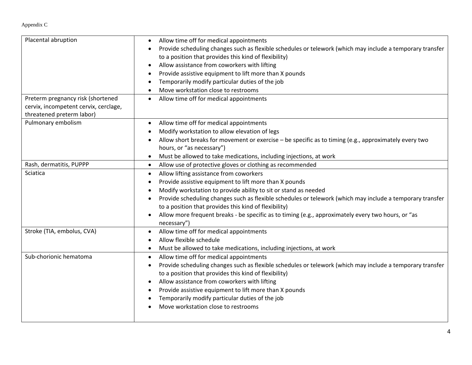| Placental abruption                   | Allow time off for medical appointments<br>$\bullet$                                                                   |
|---------------------------------------|------------------------------------------------------------------------------------------------------------------------|
|                                       | Provide scheduling changes such as flexible schedules or telework (which may include a temporary transfer              |
|                                       | to a position that provides this kind of flexibility)                                                                  |
|                                       | Allow assistance from coworkers with lifting                                                                           |
|                                       | Provide assistive equipment to lift more than X pounds                                                                 |
|                                       | Temporarily modify particular duties of the job                                                                        |
|                                       | Move workstation close to restrooms                                                                                    |
| Preterm pregnancy risk (shortened     | Allow time off for medical appointments<br>$\bullet$                                                                   |
| cervix, incompetent cervix, cerclage, |                                                                                                                        |
| threatened preterm labor)             |                                                                                                                        |
| Pulmonary embolism                    | Allow time off for medical appointments<br>$\bullet$                                                                   |
|                                       | Modify workstation to allow elevation of legs                                                                          |
|                                       | Allow short breaks for movement or exercise - be specific as to timing (e.g., approximately every two                  |
|                                       | hours, or "as necessary")                                                                                              |
|                                       | Must be allowed to take medications, including injections, at work<br>$\bullet$                                        |
| Rash, dermatitis, PUPPP               | Allow use of protective gloves or clothing as recommended<br>$\bullet$                                                 |
| Sciatica                              | Allow lifting assistance from coworkers<br>$\bullet$                                                                   |
|                                       | Provide assistive equipment to lift more than X pounds<br>$\bullet$                                                    |
|                                       | Modify workstation to provide ability to sit or stand as needed<br>$\bullet$                                           |
|                                       | Provide scheduling changes such as flexible schedules or telework (which may include a temporary transfer              |
|                                       | to a position that provides this kind of flexibility)                                                                  |
|                                       | Allow more frequent breaks - be specific as to timing (e.g., approximately every two hours, or "as<br>necessary")      |
| Stroke (TIA, embolus, CVA)            | Allow time off for medical appointments<br>$\bullet$                                                                   |
|                                       | Allow flexible schedule                                                                                                |
|                                       | Must be allowed to take medications, including injections, at work<br>$\bullet$                                        |
| Sub-chorionic hematoma                | Allow time off for medical appointments<br>$\bullet$                                                                   |
|                                       | Provide scheduling changes such as flexible schedules or telework (which may include a temporary transfer<br>$\bullet$ |
|                                       | to a position that provides this kind of flexibility)                                                                  |
|                                       | Allow assistance from coworkers with lifting<br>$\bullet$                                                              |
|                                       | Provide assistive equipment to lift more than X pounds                                                                 |
|                                       | Temporarily modify particular duties of the job                                                                        |
|                                       | Move workstation close to restrooms                                                                                    |
|                                       |                                                                                                                        |